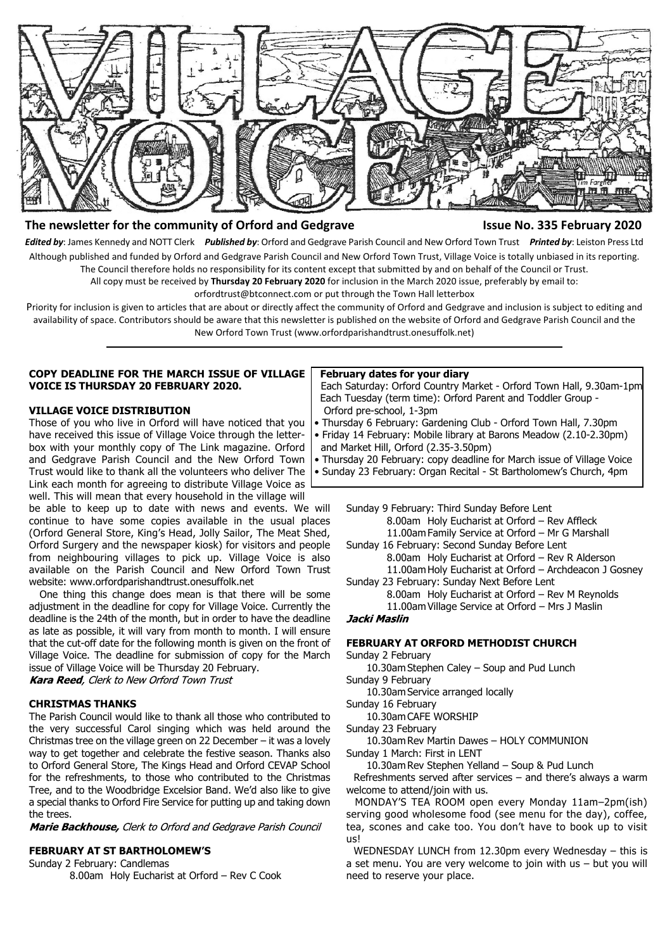

#### **The newsletter for the community of Orford and Gedgrave Issue No. 335 February 2020**

*Edited by*: James Kennedy and NOTT Clerk *Published by*: Orford and Gedgrave Parish Council and New Orford Town Trust *Printed by*: Leiston Press Ltd Although published and funded by Orford and Gedgrave Parish Council and New Orford Town Trust, Village Voice is totally unbiased in its reporting. The Council therefore holds no responsibility for its content except that submitted by and on behalf of the Council or Trust.

All copy must be received by **Thursday 20 February 2020** for inclusion in the March 2020 issue, preferably by email to:

orfordtrust@btconnect.com or put through the Town Hall letterbox

Priority for inclusion is given to articles that are about or directly affect the community of Orford and Gedgrave and inclusion is subject to editing and availability of space. Contributors should be aware that this newsletter is published on the website of Orford and Gedgrave Parish Council and the New Orford Town Trust (www.orfordparishandtrust.onesuffolk.net)

#### **COPY DEADLINE FOR THE MARCH ISSUE OF VILLAGE VOICE IS THURSDAY 20 FEBRUARY 2020.**

#### **VILLAGE VOICE DISTRIBUTION**

Those of you who live in Orford will have noticed that you have received this issue of Village Voice through the letterbox with your monthly copy of The Link magazine. Orford and Gedgrave Parish Council and the New Orford Town Trust would like to thank all the volunteers who deliver The Link each month for agreeing to distribute Village Voice as well. This will mean that every household in the village will

be able to keep up to date with news and events. We will continue to have some copies available in the usual places (Orford General Store, King's Head, Jolly Sailor, The Meat Shed, Orford Surgery and the newspaper kiosk) for visitors and people from neighbouring villages to pick up. Village Voice is also available on the Parish Council and New Orford Town Trust website: www.orfordparishandtrust.onesuffolk.net

 One thing this change does mean is that there will be some adjustment in the deadline for copy for Village Voice. Currently the deadline is the 24th of the month, but in order to have the deadline as late as possible, it will vary from month to month. I will ensure that the cut-off date for the following month is given on the front of Village Voice. The deadline for submission of copy for the March issue of Village Voice will be Thursday 20 February.

Kara Reed, Clerk to New Orford Town Trust

## **CHRISTMAS THANKS**

The Parish Council would like to thank all those who contributed to the very successful Carol singing which was held around the Christmas tree on the village green on 22 December – it was a lovely way to get together and celebrate the festive season. Thanks also to Orford General Store, The Kings Head and Orford CEVAP School for the refreshments, to those who contributed to the Christmas Tree, and to the Woodbridge Excelsior Band. We'd also like to give a special thanks to Orford Fire Service for putting up and taking down the trees.

Marie Backhouse, Clerk to Orford and Gedgrave Parish Council

## **FEBRUARY AT ST BARTHOLOMEW'S**

Sunday 2 February: Candlemas

8.00am Holy Eucharist at Orford – Rev C Cook

#### **February dates for your diary**

 Each Saturday: Orford Country Market - Orford Town Hall, 9.30am-1pm Each Tuesday (term time): Orford Parent and Toddler Group - Orford pre-school, 1-3pm

- Thursday 6 February: Gardening Club Orford Town Hall, 7.30pm
- Friday 14 February: Mobile library at Barons Meadow (2.10-2.30pm) and Market Hill, Orford (2.35-3.50pm)
- Thursday 20 February: copy deadline for March issue of Village Voice

• Sunday 23 February: Organ Recital - St Bartholomew's Church, 4pm

Sunday 9 February: Third Sunday Before Lent 8.00am Holy Eucharist at Orford – Rev Affleck 11.00am Family Service at Orford – Mr G Marshall Sunday 16 February: Second Sunday Before Lent 8.00am Holy Eucharist at Orford – Rev R Alderson 11.00am Holy Eucharist at Orford – Archdeacon J Gosney Sunday 23 February: Sunday Next Before Lent 8.00am Holy Eucharist at Orford – Rev M Reynolds

11.00am Village Service at Orford – Mrs J Maslin

#### Jacki Maslin

#### **FEBRUARY AT ORFORD METHODIST CHURCH**

Sunday 2 February

10.30am Stephen Caley – Soup and Pud Lunch Sunday 9 February

10.30am Service arranged locally

Sunday 16 February

10.30am CAFE WORSHIP

Sunday 23 February

10.30am Rev Martin Dawes – HOLY COMMUNION Sunday 1 March: First in LENT

10.30am Rev Stephen Yelland – Soup & Pud Lunch

 Refreshments served after services – and there's always a warm welcome to attend/join with us.

 MONDAY'S TEA ROOM open every Monday 11am–2pm(ish) serving good wholesome food (see menu for the day), coffee, tea, scones and cake too. You don't have to book up to visit us!

 WEDNESDAY LUNCH from 12.30pm every Wednesday – this is a set menu. You are very welcome to join with us – but you will need to reserve your place.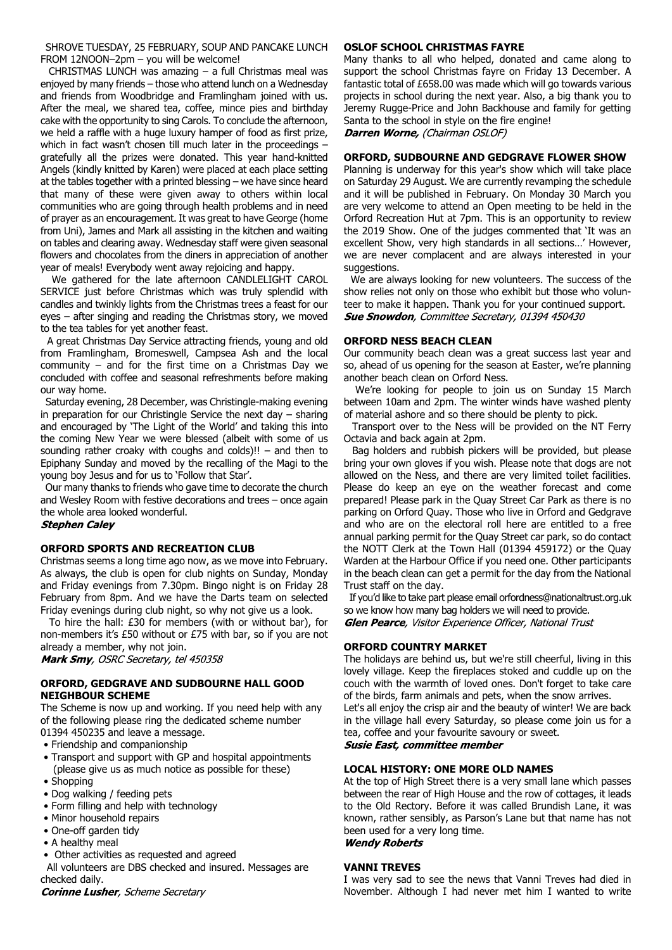SHROVE TUESDAY, 25 FEBRUARY, SOUP AND PANCAKE LUNCH FROM 12NOON–2pm – you will be welcome!

 CHRISTMAS LUNCH was amazing – a full Christmas meal was enjoyed by many friends – those who attend lunch on a Wednesday and friends from Woodbridge and Framlingham joined with us. After the meal, we shared tea, coffee, mince pies and birthday cake with the opportunity to sing Carols. To conclude the afternoon, we held a raffle with a huge luxury hamper of food as first prize, which in fact wasn't chosen till much later in the proceedings – gratefully all the prizes were donated. This year hand-knitted Angels (kindly knitted by Karen) were placed at each place setting at the tables together with a printed blessing – we have since heard that many of these were given away to others within local communities who are going through health problems and in need of prayer as an encouragement. It was great to have George (home from Uni), James and Mark all assisting in the kitchen and waiting on tables and clearing away. Wednesday staff were given seasonal flowers and chocolates from the diners in appreciation of another year of meals! Everybody went away rejoicing and happy.

 We gathered for the late afternoon CANDLELIGHT CAROL SERVICE just before Christmas which was truly splendid with candles and twinkly lights from the Christmas trees a feast for our eyes – after singing and reading the Christmas story, we moved to the tea tables for yet another feast.

 A great Christmas Day Service attracting friends, young and old from Framlingham, Bromeswell, Campsea Ash and the local community – and for the first time on a Christmas Day we concluded with coffee and seasonal refreshments before making our way home.

 Saturday evening, 28 December, was Christingle-making evening in preparation for our Christingle Service the next day – sharing and encouraged by 'The Light of the World' and taking this into the coming New Year we were blessed (albeit with some of us sounding rather croaky with coughs and colds)!! – and then to Epiphany Sunday and moved by the recalling of the Magi to the young boy Jesus and for us to 'Follow that Star'.

 Our many thanks to friends who gave time to decorate the church and Wesley Room with festive decorations and trees – once again the whole area looked wonderful.

#### **Stephen Caley**

#### **ORFORD SPORTS AND RECREATION CLUB**

Christmas seems a long time ago now, as we move into February. As always, the club is open for club nights on Sunday, Monday and Friday evenings from 7.30pm. Bingo night is on Friday 28 February from 8pm. And we have the Darts team on selected Friday evenings during club night, so why not give us a look.

 To hire the hall: £30 for members (with or without bar), for non-members it's £50 without or £75 with bar, so if you are not already a member, why not join.

Mark Smy, OSRC Secretary, tel 450358

#### **ORFORD, GEDGRAVE AND SUDBOURNE HALL GOOD NEIGHBOUR SCHEME**

The Scheme is now up and working. If you need help with any of the following please ring the dedicated scheme number 01394 450235 and leave a message.

- Friendship and companionship
- Transport and support with GP and hospital appointments (please give us as much notice as possible for these)
- Shopping
- Dog walking / feeding pets
- Form filling and help with technology
- Minor household repairs
- One-off garden tidy
- A healthy meal
- Other activities as requested and agreed

 All volunteers are DBS checked and insured. Messages are checked daily.

**Corinne Lusher**, Scheme Secretary

#### **OSLOF SCHOOL CHRISTMAS FAYRE**

Many thanks to all who helped, donated and came along to support the school Christmas fayre on Friday 13 December. A fantastic total of £658.00 was made which will go towards various projects in school during the next year. Also, a big thank you to Jeremy Rugge-Price and John Backhouse and family for getting Santa to the school in style on the fire engine! Darren Worne, (Chairman OSLOF)

#### **ORFORD, SUDBOURNE AND GEDGRAVE FLOWER SHOW**

Planning is underway for this year's show which will take place on Saturday 29 August. We are currently revamping the schedule and it will be published in February. On Monday 30 March you are very welcome to attend an Open meeting to be held in the Orford Recreation Hut at 7pm. This is an opportunity to review the 2019 Show. One of the judges commented that 'It was an excellent Show, very high standards in all sections…' However, we are never complacent and are always interested in your suggestions.

 We are always looking for new volunteers. The success of the show relies not only on those who exhibit but those who volunteer to make it happen. Thank you for your continued support. **Sue Snowdon**, Committee Secretary, 01394 450430

#### **ORFORD NESS BEACH CLEAN**

Our community beach clean was a great success last year and so, ahead of us opening for the season at Easter, we're planning another beach clean on Orford Ness.

 We're looking for people to join us on Sunday 15 March between 10am and 2pm. The winter winds have washed plenty of material ashore and so there should be plenty to pick.

 Transport over to the Ness will be provided on the NT Ferry Octavia and back again at 2pm.

 Bag holders and rubbish pickers will be provided, but please bring your own gloves if you wish. Please note that dogs are not allowed on the Ness, and there are very limited toilet facilities. Please do keep an eye on the weather forecast and come prepared! Please park in the Quay Street Car Park as there is no parking on Orford Quay. Those who live in Orford and Gedgrave and who are on the electoral roll here are entitled to a free annual parking permit for the Quay Street car park, so do contact the NOTT Clerk at the Town Hall (01394 459172) or the Quay Warden at the Harbour Office if you need one. Other participants in the beach clean can get a permit for the day from the National Trust staff on the day.

 If you'd like to take part please email orfordness@nationaltrust.org.uk so we know how many bag holders we will need to provide. Glen Pearce, Visitor Experience Officer, National Trust

#### **ORFORD COUNTRY MARKET**

The holidays are behind us, but we're still cheerful, living in this lovely village. Keep the fireplaces stoked and cuddle up on the couch with the warmth of loved ones. Don't forget to take care of the birds, farm animals and pets, when the snow arrives. Let's all enjoy the crisp air and the beauty of winter! We are back in the village hall every Saturday, so please come join us for a tea, coffee and your favourite savoury or sweet. **Susie East, committee member** 

#### **LOCAL HISTORY: ONE MORE OLD NAMES**

At the top of High Street there is a very small lane which passes between the rear of High House and the row of cottages, it leads to the Old Rectory. Before it was called Brundish Lane, it was known, rather sensibly, as Parson's Lane but that name has not been used for a very long time.

#### **Wendy Roberts**

#### **VANNI TREVES**

I was very sad to see the news that Vanni Treves had died in November. Although I had never met him I wanted to write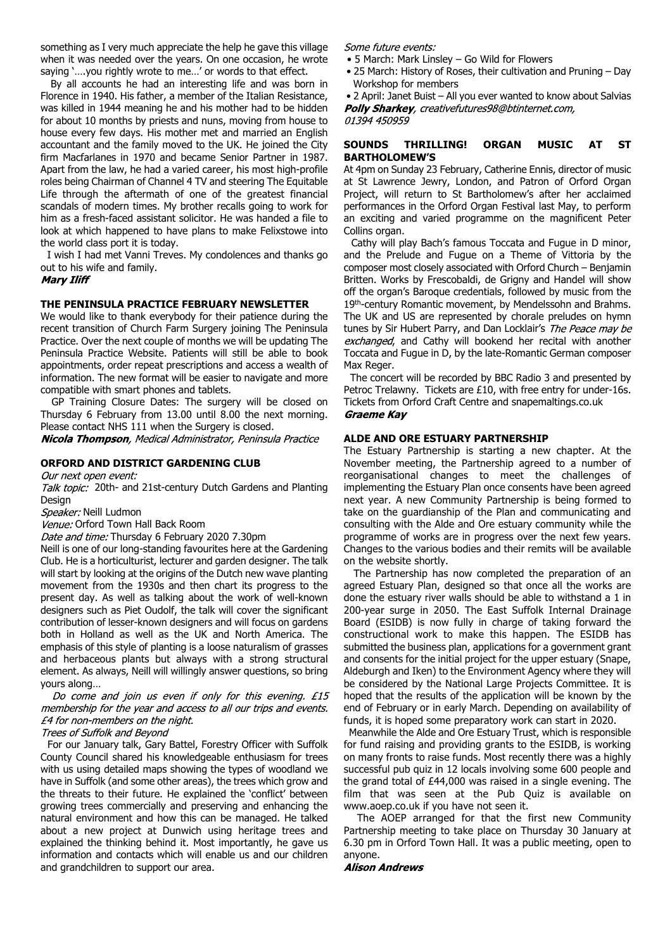something as I very much appreciate the help he gave this village when it was needed over the years. On one occasion, he wrote saying '….you rightly wrote to me…' or words to that effect.

 By all accounts he had an interesting life and was born in Florence in 1940. His father, a member of the Italian Resistance, was killed in 1944 meaning he and his mother had to be hidden for about 10 months by priests and nuns, moving from house to house every few days. His mother met and married an English accountant and the family moved to the UK. He joined the City firm Macfarlanes in 1970 and became Senior Partner in 1987. Apart from the law, he had a varied career, his most high-profile roles being Chairman of Channel 4 TV and steering The Equitable Life through the aftermath of one of the greatest financial scandals of modern times. My brother recalls going to work for him as a fresh-faced assistant solicitor. He was handed a file to look at which happened to have plans to make Felixstowe into the world class port it is today.

 I wish I had met Vanni Treves. My condolences and thanks go out to his wife and family.

#### **Mary Iliff**

#### **THE PENINSULA PRACTICE FEBRUARY NEWSLETTER**

We would like to thank everybody for their patience during the recent transition of Church Farm Surgery joining The Peninsula Practice. Over the next couple of months we will be updating The Peninsula Practice Website. Patients will still be able to book appointments, order repeat prescriptions and access a wealth of information. The new format will be easier to navigate and more compatible with smart phones and tablets.

 GP Training Closure Dates: The surgery will be closed on Thursday 6 February from 13.00 until 8.00 the next morning. Please contact NHS 111 when the Surgery is closed.

Nicola Thompson, Medical Administrator, Peninsula Practice

#### **ORFORD AND DISTRICT GARDENING CLUB**

Our next open event:

Talk topic: 20th- and 21st-century Dutch Gardens and Planting Design

Speaker: Neill Ludmon

Venue: Orford Town Hall Back Room

Date and time: Thursday 6 February 2020 7.30pm

Neill is one of our long-standing favourites here at the Gardening Club. He is a horticulturist, lecturer and garden designer. The talk will start by looking at the origins of the Dutch new wave planting movement from the 1930s and then chart its progress to the present day. As well as talking about the work of well-known designers such as Piet Oudolf, the talk will cover the significant contribution of lesser-known designers and will focus on gardens both in Holland as well as the UK and North America. The emphasis of this style of planting is a loose naturalism of grasses and herbaceous plants but always with a strong structural element. As always, Neill will willingly answer questions, so bring yours along…

Do come and join us even if only for this evening. £15 membership for the year and access to all our trips and events. £4 for non-members on the night.

#### Trees of Suffolk and Beyond

 For our January talk, Gary Battel, Forestry Officer with Suffolk County Council shared his knowledgeable enthusiasm for trees with us using detailed maps showing the types of woodland we have in Suffolk (and some other areas), the trees which grow and the threats to their future. He explained the 'conflict' between growing trees commercially and preserving and enhancing the natural environment and how this can be managed. He talked about a new project at Dunwich using heritage trees and explained the thinking behind it. Most importantly, he gave us information and contacts which will enable us and our children and grandchildren to support our area.

Some future events:

- 5 March: Mark Linsley Go Wild for Flowers
- 25 March: History of Roses, their cultivation and Pruning Day Workshop for members

 • 2 April: Janet Buist – All you ever wanted to know about Salvias Polly Sharkey, creativefutures98@btinternet.com, 01394 450959

#### **SOUNDS THRILLING! ORGAN MUSIC AT ST BARTHOLOMEW'S**

At 4pm on Sunday 23 February, Catherine Ennis, director of music at St Lawrence Jewry, London, and Patron of Orford Organ Project, will return to St Bartholomew's after her acclaimed performances in the Orford Organ Festival last May, to perform an exciting and varied programme on the magnificent Peter Collins organ.

 Cathy will play Bach's famous Toccata and Fugue in D minor, and the Prelude and Fugue on a Theme of Vittoria by the composer most closely associated with Orford Church – Benjamin Britten. Works by Frescobaldi, de Grigny and Handel will show off the organ's Baroque credentials, followed by music from the 19<sup>th</sup>-century Romantic movement, by Mendelssohn and Brahms. The UK and US are represented by chorale preludes on hymn tunes by Sir Hubert Parry, and Dan Locklair's The Peace may be exchanged, and Cathy will bookend her recital with another Toccata and Fugue in D, by the late-Romantic German composer Max Reger.

 The concert will be recorded by BBC Radio 3 and presented by Petroc Trelawny. Tickets are £10, with free entry for under-16s. Tickets from Orford Craft Centre and snapemaltings.co.uk **Graeme Kay** 

#### **ALDE AND ORE ESTUARY PARTNERSHIP**

The Estuary Partnership is starting a new chapter. At the November meeting, the Partnership agreed to a number of reorganisational changes to meet the challenges of implementing the Estuary Plan once consents have been agreed next year. A new Community Partnership is being formed to take on the guardianship of the Plan and communicating and consulting with the Alde and Ore estuary community while the programme of works are in progress over the next few years. Changes to the various bodies and their remits will be available on the website shortly.

 The Partnership has now completed the preparation of an agreed Estuary Plan, designed so that once all the works are done the estuary river walls should be able to withstand a 1 in 200-year surge in 2050. The East Suffolk Internal Drainage Board (ESIDB) is now fully in charge of taking forward the constructional work to make this happen. The ESIDB has submitted the business plan, applications for a government grant and consents for the initial project for the upper estuary (Snape, Aldeburgh and Iken) to the Environment Agency where they will be considered by the National Large Projects Committee. It is hoped that the results of the application will be known by the end of February or in early March. Depending on availability of funds, it is hoped some preparatory work can start in 2020.

 Meanwhile the Alde and Ore Estuary Trust, which is responsible for fund raising and providing grants to the ESIDB, is working on many fronts to raise funds. Most recently there was a highly successful pub quiz in 12 locals involving some 600 people and the grand total of £44,000 was raised in a single evening. The film that was seen at the Pub Quiz is available on www.aoep.co.uk if you have not seen it.

 The AOEP arranged for that the first new Community Partnership meeting to take place on Thursday 30 January at 6.30 pm in Orford Town Hall. It was a public meeting, open to anyone.

#### **Alison Andrews**